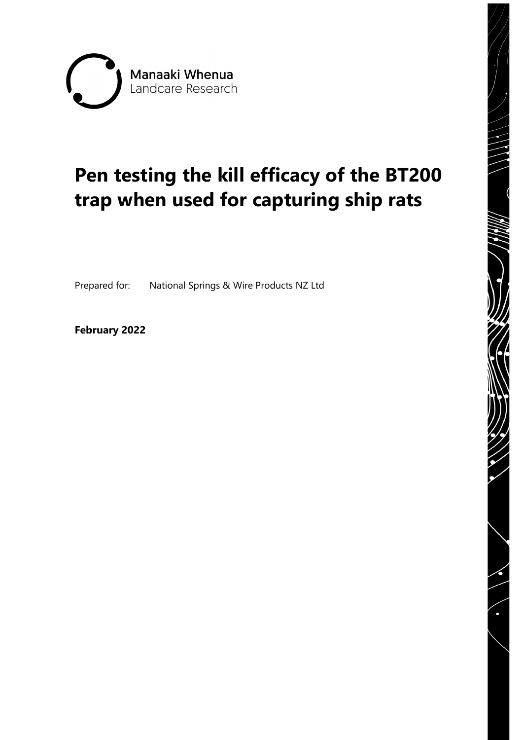

# **Pen testing the kill efficacy of the BT200 trap when used for capturing ship rats**

Prepared for: National Springs & Wire Products NZ Ltd

**February 2022**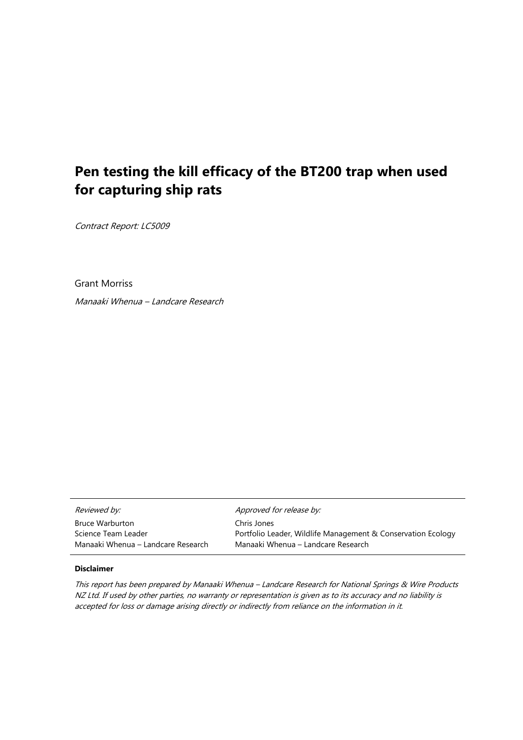# **Pen testing the kill efficacy of the BT200 trap when used for capturing ship rats**

Contract Report: LC5009

Grant Morriss

Manaaki Whenua – Landcare Research

| Reviewed by:                       | Approved for release by:                                     |
|------------------------------------|--------------------------------------------------------------|
| Bruce Warburton                    | Chris Jones                                                  |
| Science Team Leader                | Portfolio Leader, Wildlife Management & Conservation Ecology |
| Manaaki Whenua – Landcare Research | Manaaki Whenua – Landcare Research                           |

#### **Disclaimer**

This report has been prepared by Manaaki Whenua – Landcare Research for National Springs & Wire Products NZ Ltd. If used by other parties, no warranty or representation is given as to its accuracy and no liability is accepted for loss or damage arising directly or indirectly from reliance on the information in it.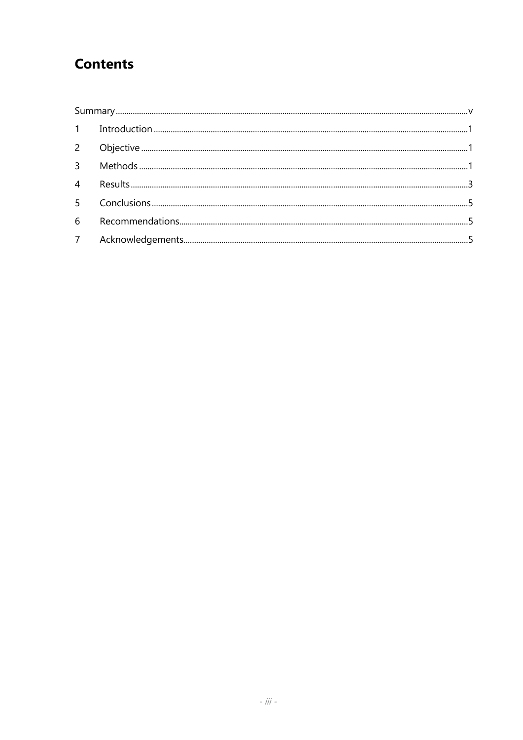# **Contents**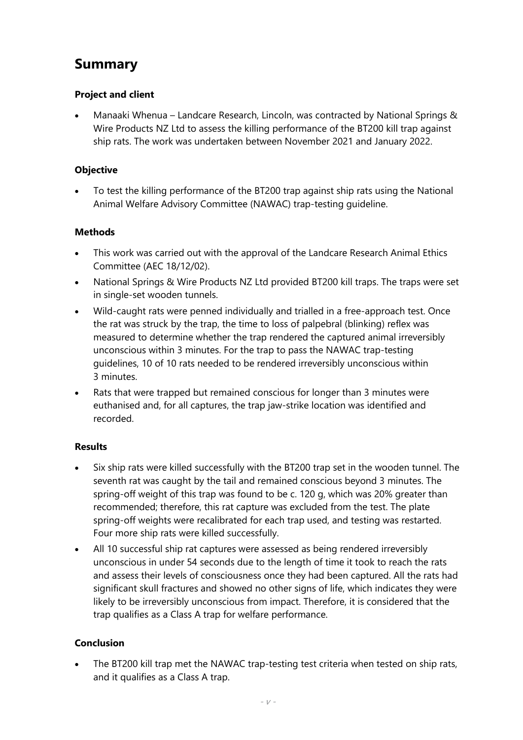# <span id="page-6-0"></span>**Summary**

#### **Project and client**

• Manaaki Whenua – Landcare Research, Lincoln, was contracted by National Springs & Wire Products NZ Ltd to assess the killing performance of the BT200 kill trap against ship rats. The work was undertaken between November 2021 and January 2022.

#### **Objective**

• To test the killing performance of the BT200 trap against ship rats using the National Animal Welfare Advisory Committee (NAWAC) trap-testing guideline.

#### **Methods**

- This work was carried out with the approval of the Landcare Research Animal Ethics Committee (AEC 18/12/02).
- National Springs & Wire Products NZ Ltd provided BT200 kill traps. The traps were set in single-set wooden tunnels.
- Wild-caught rats were penned individually and trialled in a free-approach test. Once the rat was struck by the trap, the time to loss of palpebral (blinking) reflex was measured to determine whether the trap rendered the captured animal irreversibly unconscious within 3 minutes. For the trap to pass the NAWAC trap-testing guidelines, 10 of 10 rats needed to be rendered irreversibly unconscious within 3 minutes.
- Rats that were trapped but remained conscious for longer than 3 minutes were euthanised and, for all captures, the trap jaw-strike location was identified and recorded.

#### **Results**

- Six ship rats were killed successfully with the BT200 trap set in the wooden tunnel. The seventh rat was caught by the tail and remained conscious beyond 3 minutes. The spring-off weight of this trap was found to be c. 120 g, which was 20% greater than recommended; therefore, this rat capture was excluded from the test. The plate spring-off weights were recalibrated for each trap used, and testing was restarted. Four more ship rats were killed successfully.
- All 10 successful ship rat captures were assessed as being rendered irreversibly unconscious in under 54 seconds due to the length of time it took to reach the rats and assess their levels of consciousness once they had been captured. All the rats had significant skull fractures and showed no other signs of life, which indicates they were likely to be irreversibly unconscious from impact. Therefore, it is considered that the trap qualifies as a Class A trap for welfare performance.

#### **Conclusion**

The BT200 kill trap met the NAWAC trap-testing test criteria when tested on ship rats, and it qualifies as a Class A trap.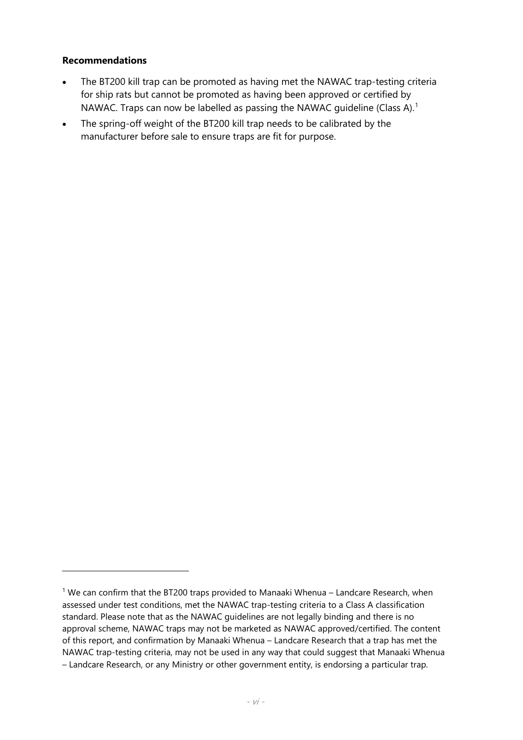#### **Recommendations**

- The BT200 kill trap can be promoted as having met the NAWAC trap-testing criteria for ship rats but cannot be promoted as having been approved or certified by NAWAC. Traps can now be labelled as passing the NAWAC guideline (Class A). [1](#page-7-0)
- The spring-off weight of the BT200 kill trap needs to be calibrated by the manufacturer before sale to ensure traps are fit for purpose.

<span id="page-7-0"></span> $1$  We can confirm that the BT200 traps provided to Manaaki Whenua – Landcare Research, when assessed under test conditions, met the NAWAC trap-testing criteria to a Class A classification standard. Please note that as the NAWAC guidelines are not legally binding and there is no approval scheme, NAWAC traps may not be marketed as NAWAC approved/certified. The content of this report, and confirmation by Manaaki Whenua – Landcare Research that a trap has met the NAWAC trap-testing criteria, may not be used in any way that could suggest that Manaaki Whenua – Landcare Research, or any Ministry or other government entity, is endorsing a particular trap.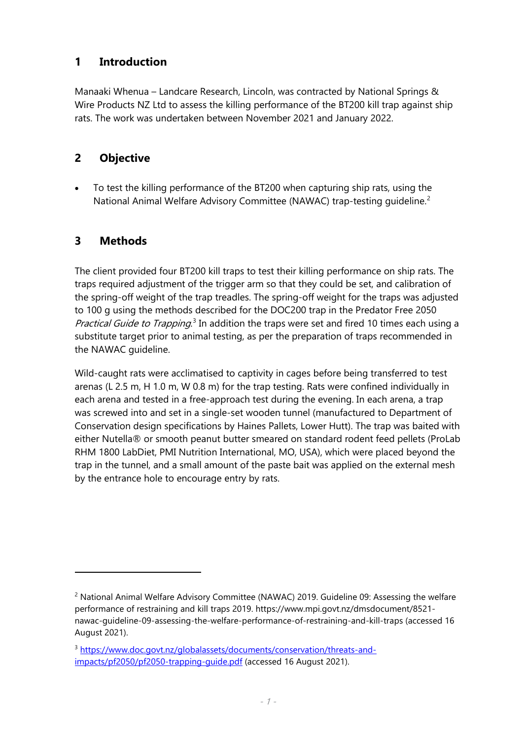## <span id="page-8-0"></span>**1 Introduction**

Manaaki Whenua – Landcare Research, Lincoln, was contracted by National Springs & Wire Products NZ Ltd to assess the killing performance of the BT200 kill trap against ship rats. The work was undertaken between November 2021 and January 2022.

# <span id="page-8-1"></span>**2 Objective**

• To test the killing performance of the BT200 when capturing ship rats, using the National Animal Welfare Advisory Committee (NAWAC) trap-testing quideline.<sup>[2](#page-8-3)</sup>

## <span id="page-8-2"></span>**3 Methods**

The client provided four BT200 kill traps to test their killing performance on ship rats. The traps required adjustment of the trigger arm so that they could be set, and calibration of the spring-off weight of the trap treadles. The spring-off weight for the traps was adjusted to 100 g using the methods described for the DOC200 trap in the Predator Free 2050 *Practical Guide to Trapping*.<sup>[3](#page-8-4)</sup> In addition the traps were set and fired 10 times each using a substitute target prior to animal testing, as per the preparation of traps recommended in the NAWAC guideline.

Wild-caught rats were acclimatised to captivity in cages before being transferred to test arenas (L 2.5 m, H 1.0 m, W 0.8 m) for the trap testing. Rats were confined individually in each arena and tested in a free-approach test during the evening. In each arena, a trap was screwed into and set in a single-set wooden tunnel (manufactured to Department of Conservation design specifications by Haines Pallets, Lower Hutt). The trap was baited with either Nutella® or smooth peanut butter smeared on standard rodent feed pellets (ProLab RHM 1800 LabDiet, PMI Nutrition International, MO, USA), which were placed beyond the trap in the tunnel, and a small amount of the paste bait was applied on the external mesh by the entrance hole to encourage entry by rats.

<span id="page-8-3"></span> $2$  National Animal Welfare Advisory Committee (NAWAC) 2019. Guideline 09: Assessing the welfare performance of restraining and kill traps 2019. https://www.mpi.govt.nz/dmsdocument/8521 nawac-guideline-09-assessing-the-welfare-performance-of-restraining-and-kill-traps (accessed 16 August 2021).

<span id="page-8-4"></span><sup>3</sup> [https://www.doc.govt.nz/globalassets/documents/conservation/threats-and](https://www.doc.govt.nz/globalassets/documents/conservation/threats-and-impacts/pf2050/pf2050-trapping-guide.pdf)[impacts/pf2050/pf2050-trapping-guide.pdf](https://www.doc.govt.nz/globalassets/documents/conservation/threats-and-impacts/pf2050/pf2050-trapping-guide.pdf) (accessed 16 August 2021).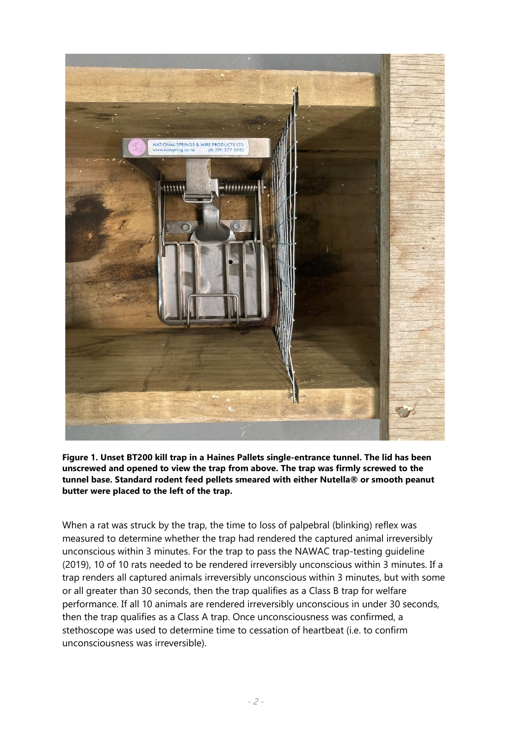

**Figure 1. Unset BT200 kill trap in a Haines Pallets single-entrance tunnel. The lid has been unscrewed and opened to view the trap from above. The trap was firmly screwed to the tunnel base. Standard rodent feed pellets smeared with either Nutella® or smooth peanut butter were placed to the left of the trap.**

When a rat was struck by the trap, the time to loss of palpebral (blinking) reflex was measured to determine whether the trap had rendered the captured animal irreversibly unconscious within 3 minutes. For the trap to pass the NAWAC trap-testing guideline (2019), 10 of 10 rats needed to be rendered irreversibly unconscious within 3 minutes. If a trap renders all captured animals irreversibly unconscious within 3 minutes, but with some or all greater than 30 seconds, then the trap qualifies as a Class B trap for welfare performance. If all 10 animals are rendered irreversibly unconscious in under 30 seconds, then the trap qualifies as a Class A trap. Once unconsciousness was confirmed, a stethoscope was used to determine time to cessation of heartbeat (i.e. to confirm unconsciousness was irreversible).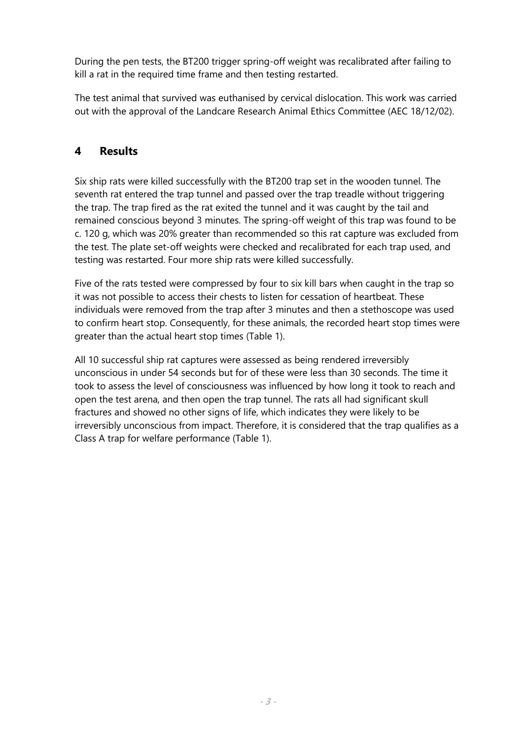During the pen tests, the BT200 trigger spring-off weight was recalibrated after failing to kill a rat in the required time frame and then testing restarted.

The test animal that survived was euthanised by cervical dislocation. This work was carried out with the approval of the Landcare Research Animal Ethics Committee (AEC 18/12/02).

## <span id="page-10-0"></span>**4 Results**

Six ship rats were killed successfully with the BT200 trap set in the wooden tunnel. The seventh rat entered the trap tunnel and passed over the trap treadle without triggering the trap. The trap fired as the rat exited the tunnel and it was caught by the tail and remained conscious beyond 3 minutes. The spring-off weight of this trap was found to be c. 120 g, which was 20% greater than recommended so this rat capture was excluded from the test. The plate set-off weights were checked and recalibrated for each trap used, and testing was restarted. Four more ship rats were killed successfully.

Five of the rats tested were compressed by four to six kill bars when caught in the trap so it was not possible to access their chests to listen for cessation of heartbeat. These individuals were removed from the trap after 3 minutes and then a stethoscope was used to confirm heart stop. Consequently, for these animals, the recorded heart stop times were greater than the actual heart stop times (Table 1).

All 10 successful ship rat captures were assessed as being rendered irreversibly unconscious in under 54 seconds but for of these were less than 30 seconds. The time it took to assess the level of consciousness was influenced by how long it took to reach and open the test arena, and then open the trap tunnel. The rats all had significant skull fractures and showed no other signs of life, which indicates they were likely to be irreversibly unconscious from impact. Therefore, it is considered that the trap qualifies as a Class A trap for welfare performance (Table 1).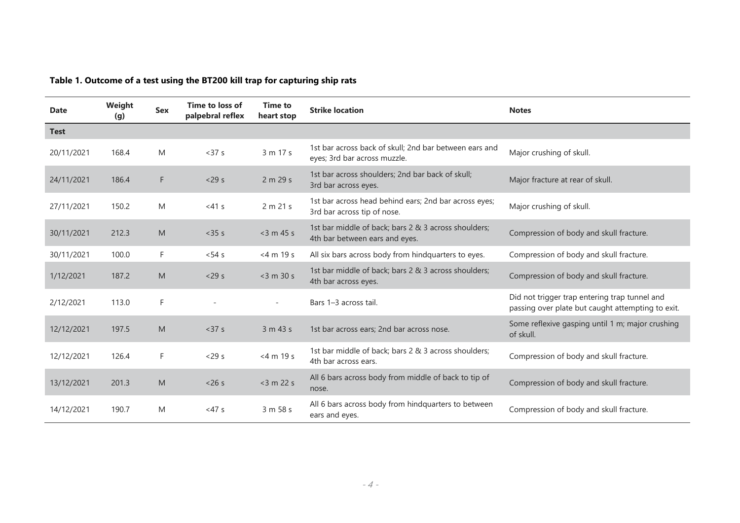| Table 1. Outcome of a test using the BT200 kill trap for capturing ship rats |
|------------------------------------------------------------------------------|
|------------------------------------------------------------------------------|

| <b>Date</b> | Weight<br>(q) | <b>Sex</b> | Time to loss of<br>palpebral reflex | <b>Time to</b><br>heart stop | <b>Strike location</b>                                                                 | <b>Notes</b>                                                                                       |
|-------------|---------------|------------|-------------------------------------|------------------------------|----------------------------------------------------------------------------------------|----------------------------------------------------------------------------------------------------|
| <b>Test</b> |               |            |                                     |                              |                                                                                        |                                                                                                    |
| 20/11/2021  | 168.4         | M          | $37 s$                              | 3 m 17 s                     | 1st bar across back of skull; 2nd bar between ears and<br>eyes; 3rd bar across muzzle. | Major crushing of skull.                                                                           |
| 24/11/2021  | 186.4         | F          | $<$ 29 s                            | 2 m 29 s                     | 1st bar across shoulders; 2nd bar back of skull;<br>3rd bar across eyes.               | Major fracture at rear of skull.                                                                   |
| 27/11/2021  | 150.2         | M          | $<41$ s                             | 2 m 21 s                     | 1st bar across head behind ears; 2nd bar across eyes;<br>3rd bar across tip of nose.   | Major crushing of skull.                                                                           |
| 30/11/2021  | 212.3         | M          | $<$ 35 $s$                          | $<$ 3 m 45 s                 | 1st bar middle of back; bars 2 & 3 across shoulders;<br>4th bar between ears and eyes. | Compression of body and skull fracture.                                                            |
| 30/11/2021  | 100.0         | F.         | $< 54$ s                            | $<$ 4 m 19 s                 | All six bars across body from hindquarters to eyes.                                    | Compression of body and skull fracture.                                                            |
| 1/12/2021   | 187.2         | M          | $<$ 29 s                            | $<$ 3 m 30 s                 | 1st bar middle of back; bars 2 & 3 across shoulders;<br>4th bar across eyes.           | Compression of body and skull fracture.                                                            |
| 2/12/2021   | 113.0         | F.         |                                     | $\sim$                       | Bars 1-3 across tail.                                                                  | Did not trigger trap entering trap tunnel and<br>passing over plate but caught attempting to exit. |
| 12/12/2021  | 197.5         | M          | < 37 s                              | 3 m 43 s                     | 1st bar across ears; 2nd bar across nose.                                              | Some reflexive gasping until 1 m; major crushing<br>of skull.                                      |
| 12/12/2021  | 126.4         | F.         | $<$ 29 s                            | $<$ 4 m 19 s                 | 1st bar middle of back; bars 2 & 3 across shoulders;<br>4th bar across ears.           | Compression of body and skull fracture.                                                            |
| 13/12/2021  | 201.3         | M          | < 26s                               | $<$ 3 m 22 s                 | All 6 bars across body from middle of back to tip of<br>nose.                          | Compression of body and skull fracture.                                                            |
| 14/12/2021  | 190.7         | M          | <47s                                | 3 m 58 s                     | All 6 bars across body from hindquarters to between<br>ears and eyes.                  | Compression of body and skull fracture.                                                            |